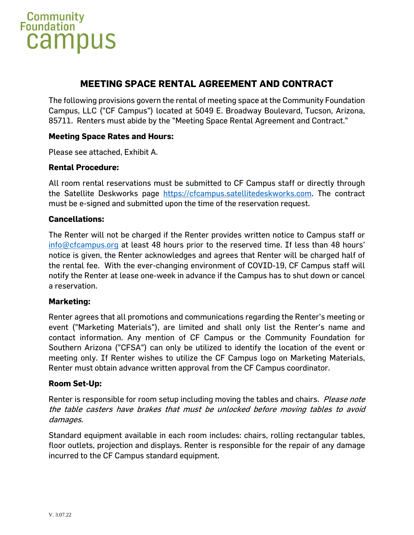

# **MEETING SPACE RENTAL AGREEMENT AND CONTRACT**

The following provisions govern the rental of meeting space at the Community Foundation Campus, LLC ("CF Campus") located at 5049 E. Broadway Boulevard, Tucson, Arizona, 85711. Renters must abide by the "Meeting Space Rental Agreement and Contract."

#### **Meeting Space Rates and Hours:**

Please see attached, Exhibit A.

#### **Rental Procedure:**

All room rental reservations must be submitted to CF Campus staff or directly through the Satellite Deskworks page [https://cfcampus.satellitedeskworks.com.](https://cfcampus.satellitedeskworks.com/) The contract must be e-signed and submitted upon the time of the reservation request.

#### **Cancellations:**

The Renter will not be charged if the Renter provides written notice to Campus staff or [info@cfcampus.org](mailto:info@cfcampus.org) at least 48 hours prior to the reserved time. If less than 48 hours' notice is given, the Renter acknowledges and agrees that Renter will be charged half of the rental fee. With the ever-changing environment of COVID-19, CF Campus staff will notify the Renter at lease one-week in advance if the Campus has to shut down or cancel a reservation.

#### **Marketing:**

Renter agrees that all promotions and communications regarding the Renter's meeting or event ("Marketing Materials"), are limited and shall only list the Renter's name and contact information. Any mention of CF Campus or the Community Foundation for Southern Arizona ("CFSA") can only be utilized to identify the location of the event or meeting only. If Renter wishes to utilize the CF Campus logo on Marketing Materials, Renter must obtain advance written approval from the CF Campus coordinator.

#### **Room Set-Up:**

Renter is responsible for room setup including moving the tables and chairs. *Please note* the table casters have brakes that must be unlocked before moving tables to avoid damages.

Standard equipment available in each room includes: chairs, rolling rectangular tables, floor outlets, projection and displays. Renter is responsible for the repair of any damage incurred to the CF Campus standard equipment.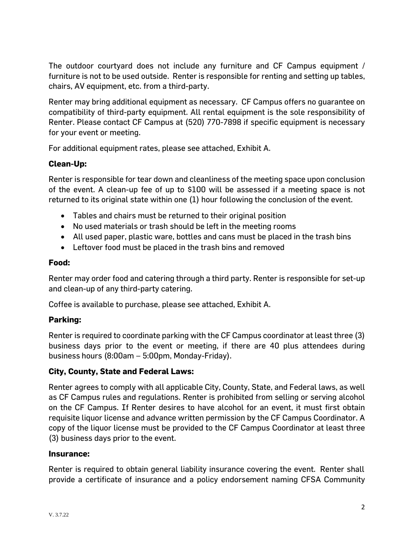The outdoor courtyard does not include any furniture and CF Campus equipment / furniture is not to be used outside. Renter is responsible for renting and setting up tables, chairs, AV equipment, etc. from a third-party.

Renter may bring additional equipment as necessary. CF Campus offers no guarantee on compatibility of third-party equipment. All rental equipment is the sole responsibility of Renter. Please contact CF Campus at (520) 770-7898 if specific equipment is necessary for your event or meeting.

For additional equipment rates, please see attached, Exhibit A.

# **Clean-Up:**

Renter is responsible for tear down and cleanliness of the meeting space upon conclusion of the event. A clean-up fee of up to \$100 will be assessed if a meeting space is not returned to its original state within one (1) hour following the conclusion of the event.

- Tables and chairs must be returned to their original position
- No used materials or trash should be left in the meeting rooms
- All used paper, plastic ware, bottles and cans must be placed in the trash bins
- Leftover food must be placed in the trash bins and removed

#### **Food:**

Renter may order food and catering through a third party. Renter is responsible for set-up and clean-up of any third-party catering.

Coffee is available to purchase, please see attached, Exhibit A.

# **Parking:**

Renter is required to coordinate parking with the CF Campus coordinator at least three (3) business days prior to the event or meeting, if there are 40 plus attendees during business hours (8:00am – 5:00pm, Monday-Friday).

# **City, County, State and Federal Laws:**

Renter agrees to comply with all applicable City, County, State, and Federal laws, as well as CF Campus rules and regulations. Renter is prohibited from selling or serving alcohol on the CF Campus. If Renter desires to have alcohol for an event, it must first obtain requisite liquor license and advance written permission by the CF Campus Coordinator. A copy of the liquor license must be provided to the CF Campus Coordinator at least three (3) business days prior to the event.

# **Insurance:**

Renter is required to obtain general liability insurance covering the event. Renter shall provide a certificate of insurance and a policy endorsement naming CFSA Community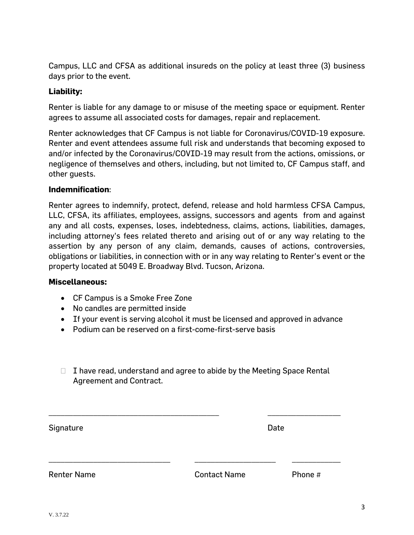Campus, LLC and CFSA as additional insureds on the policy at least three (3) business days prior to the event.

### **Liability:**

Renter is liable for any damage to or misuse of the meeting space or equipment. Renter agrees to assume all associated costs for damages, repair and replacement.

Renter acknowledges that CF Campus is not liable for Coronavirus/COVID-19 exposure. Renter and event attendees assume full risk and understands that becoming exposed to and/or infected by the Coronavirus/COVID-19 may result from the actions, omissions, or negligence of themselves and others, including, but not limited to, CF Campus staff, and other guests.

#### **Indemnification**:

Renter agrees to indemnify, protect, defend, release and hold harmless CFSA Campus, LLC, CFSA, its affiliates, employees, assigns, successors and agents from and against any and all costs, expenses, loses, indebtedness, claims, actions, liabilities, damages, including attorney's fees related thereto and arising out of or any way relating to the assertion by any person of any claim, demands, causes of actions, controversies, obligations or liabilities, in connection with or in any way relating to Renter's event or the property located at 5049 E. Broadway Blvd. Tucson, Arizona.

#### **Miscellaneous:**

- CF Campus is a Smoke Free Zone
- No candles are permitted inside
- If your event is serving alcohol it must be licensed and approved in advance
- Podium can be reserved on a first-come-first-serve basis
- $\Box$  I have read, understand and agree to abide by the Meeting Space Rental Agreement and Contract.

| Signature          |                     | Date    |
|--------------------|---------------------|---------|
|                    |                     |         |
| <b>Renter Name</b> | <b>Contact Name</b> | Phone # |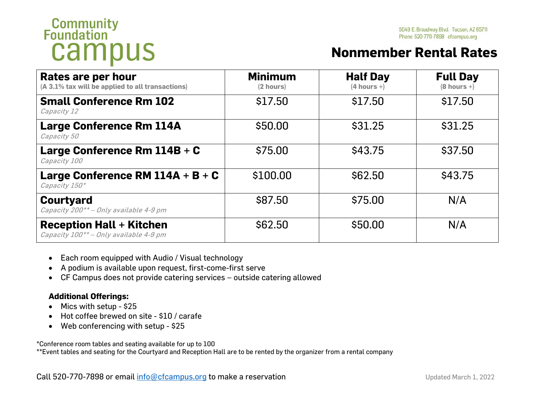# **Community**<br>**Foundation** campus

# **Nonmember Rental Rates**

| Rates are per hour<br>(A 3.1% tax will be applied to all transactions)    | <b>Minimum</b><br>(2 hours) | <b>Half Day</b><br>$(4 hours +)$ | <b>Full Day</b><br>$(8 hours +)$ |
|---------------------------------------------------------------------------|-----------------------------|----------------------------------|----------------------------------|
| <b>Small Conference Rm 102</b><br>Capacity 12                             | \$17.50                     | \$17.50                          | \$17.50                          |
| <b>Large Conference Rm 114A</b><br>Capacity 50                            | \$50.00                     | \$31.25                          | \$31.25                          |
| Large Conference Rm $114B + C$<br>Capacity 100                            | \$75.00                     | \$43.75                          | \$37.50                          |
| Large Conference RM $114A + B + C$<br>Capacity 150*                       | \$100.00                    | \$62.50                          | \$43.75                          |
| <b>Courtyard</b><br>Capacity 200** - Only available 4-9 pm                | \$87.50                     | \$75.00                          | N/A                              |
| <b>Reception Hall + Kitchen</b><br>Capacity 100** - Only available 4-9 pm | \$62.50                     | \$50.00                          | N/A                              |

- Each room equipped with Audio / Visual technology
- A podium is available upon request, first-come-first serve
- CF Campus does not provide catering services outside catering allowed

# **Additional Offerings:**

- Mics with setup \$25
- Hot coffee brewed on site \$10 / carafe
- Web conferencing with setup \$25

\*Conference room tables and seating available for up to 100

\*\*Event tables and seating for the Courtyard and Reception Hall are to be rented by the organizer from a rental company